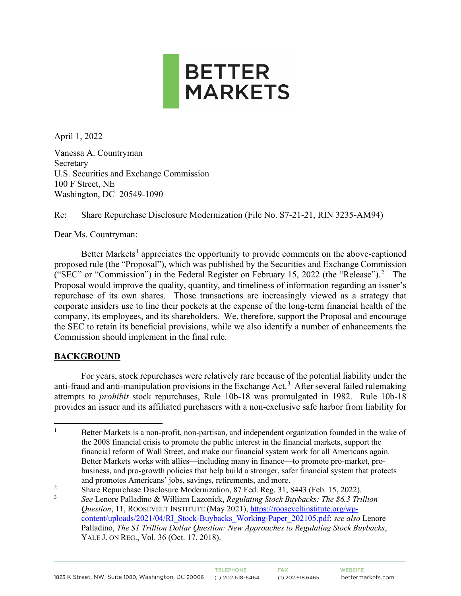

April 1, 2022

Vanessa A. Countryman Secretary U.S. Securities and Exchange Commission 100 F Street, NE Washington, DC 20549-1090

Re: Share Repurchase Disclosure Modernization (File No. S7-21-21, RIN 3235-AM94)

Dear Ms. Countryman:

Better Markets<sup>[1](#page-0-0)</sup> appreciates the opportunity to provide comments on the above-captioned proposed rule (the "Proposal"), which was published by the Securities and Exchange Commission ("SEC" or "Commission") in the Federal Register on February 15, [2](#page-0-1)022 (the "Release").<sup>2</sup> The Proposal would improve the quality, quantity, and timeliness of information regarding an issuer's repurchase of its own shares. Those transactions are increasingly viewed as a strategy that corporate insiders use to line their pockets at the expense of the long-term financial health of the company, its employees, and its shareholders. We, therefore, support the Proposal and encourage the SEC to retain its beneficial provisions, while we also identify a number of enhancements the Commission should implement in the final rule.

## **BACKGROUND**

For years, stock repurchases were relatively rare because of the potential liability under the anti-fraud and anti-manipulation provisions in the Exchange Act. [3](#page-0-2) After several failed rulemaking attempts to *prohibit* stock repurchases, Rule 10b-18 was promulgated in 1982. Rule 10b-18 provides an issuer and its affiliated purchasers with a non-exclusive safe harbor from liability for

<span id="page-0-0"></span><sup>1</sup> Better Markets is a non-profit, non-partisan, and independent organization founded in the wake of the 2008 financial crisis to promote the public interest in the financial markets, support the financial reform of Wall Street, and make our financial system work for all Americans again. Better Markets works with allies—including many in finance—to promote pro-market, probusiness, and pro-growth policies that help build a stronger, safer financial system that protects and promotes Americans' jobs, savings, retirements, and more.

<span id="page-0-1"></span> $\overline{2}$ Share Repurchase Disclosure Modernization, 87 Fed. Reg. 31, 8443 (Feb. 15, 2022).

<span id="page-0-2"></span><sup>3</sup> *See* Lenore Palladino & William Lazonick, *Regulating Stock Buybacks: The \$6.3 Trillion Question*, 11, ROOSEVELT INSTITUTE (May 2021), [https://rooseveltinstitute.org/wp](https://rooseveltinstitute.org/wp-content/uploads/2021/04/RI_Stock-Buybacks_Working-Paper_202105.pdf)[content/uploads/2021/04/RI\\_Stock-Buybacks\\_Working-Paper\\_202105.pdf;](https://rooseveltinstitute.org/wp-content/uploads/2021/04/RI_Stock-Buybacks_Working-Paper_202105.pdf) *see also* Lenore Palladino, *The \$1 Trillion Dollar Question: New Approaches to Regulating Stock Buybacks*, YALE J. ON REG., Vol. 36 (Oct. 17, 2018).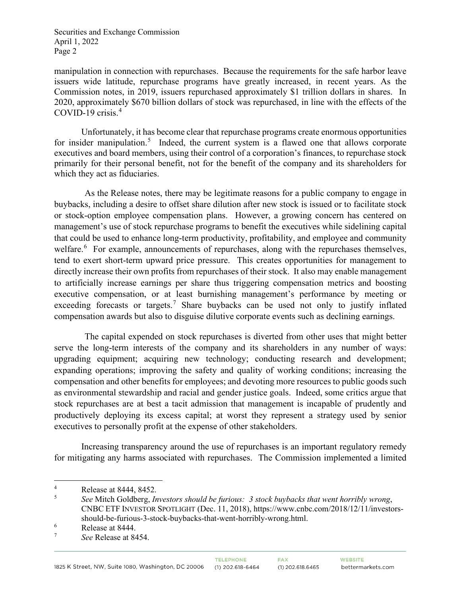manipulation in connection with repurchases. Because the requirements for the safe harbor leave issuers wide latitude, repurchase programs have greatly increased, in recent years. As the Commission notes, in 2019, issuers repurchased approximately \$1 trillion dollars in shares. In 2020, approximately \$670 billion dollars of stock was repurchased, in line with the effects of the COVID-19 crisis.[4](#page-1-0)

Unfortunately, it has become clear that repurchase programs create enormous opportunities for insider manipulation.<sup>[5](#page-1-1)</sup> Indeed, the current system is a flawed one that allows corporate executives and board members, using their control of a corporation's finances, to repurchase stock primarily for their personal benefit, not for the benefit of the company and its shareholders for which they act as fiduciaries.

As the Release notes, there may be legitimate reasons for a public company to engage in buybacks, including a desire to offset share dilution after new stock is issued or to facilitate stock or stock-option employee compensation plans. However, a growing concern has centered on management's use of stock repurchase programs to benefit the executives while sidelining capital that could be used to enhance long-term productivity, profitability, and employee and community welfare.<sup>[6](#page-1-2)</sup> For example, announcements of repurchases, along with the repurchases themselves, tend to exert short-term upward price pressure. This creates opportunities for management to directly increase their own profits from repurchases of their stock. It also may enable management to artificially increase earnings per share thus triggering compensation metrics and boosting executive compensation, or at least burnishing management's performance by meeting or exceeding forecasts or targets.<sup>[7](#page-1-3)</sup> Share buybacks can be used not only to justify inflated compensation awards but also to disguise dilutive corporate events such as declining earnings.

The capital expended on stock repurchases is diverted from other uses that might better serve the long-term interests of the company and its shareholders in any number of ways: upgrading equipment; acquiring new technology; conducting research and development; expanding operations; improving the safety and quality of working conditions; increasing the compensation and other benefits for employees; and devoting more resources to public goods such as environmental stewardship and racial and gender justice goals. Indeed, some critics argue that stock repurchases are at best a tacit admission that management is incapable of prudently and productively deploying its excess capital; at worst they represent a strategy used by senior executives to personally profit at the expense of other stakeholders.

Increasing transparency around the use of repurchases is an important regulatory remedy for mitigating any harms associated with repurchases. The Commission implemented a limited

<span id="page-1-0"></span><sup>4</sup> Release at 8444, 8452.

<span id="page-1-1"></span><sup>5</sup> *See* Mitch Goldberg, *Investors should be furious: 3 stock buybacks that went horribly wrong*, CNBC ETF INVESTOR SPOTLIGHT (Dec. 11, 2018), https://www.cnbc.com/2018/12/11/investorsshould-be-furious-3-stock-buybacks-that-went-horribly-wrong.html.

<span id="page-1-2"></span><sup>6</sup>  $\frac{6}{7}$  Release at 8444.

<span id="page-1-3"></span>*See* Release at 8454.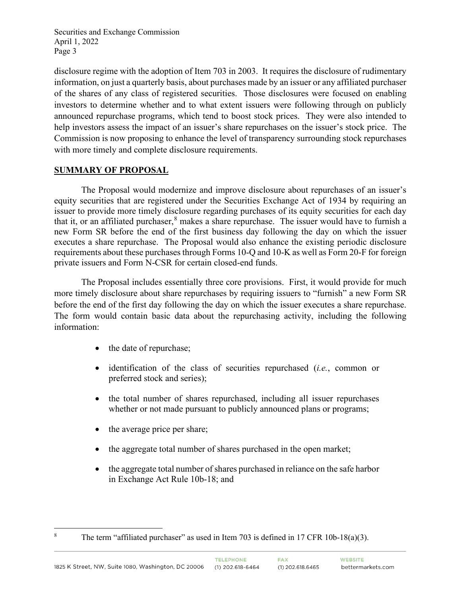disclosure regime with the adoption of Item 703 in 2003. It requires the disclosure of rudimentary information, on just a quarterly basis, about purchases made by an issuer or any affiliated purchaser of the shares of any class of registered securities. Those disclosures were focused on enabling investors to determine whether and to what extent issuers were following through on publicly announced repurchase programs, which tend to boost stock prices. They were also intended to help investors assess the impact of an issuer's share repurchases on the issuer's stock price. The Commission is now proposing to enhance the level of transparency surrounding stock repurchases with more timely and complete disclosure requirements.

# **SUMMARY OF PROPOSAL**

The Proposal would modernize and improve disclosure about repurchases of an issuer's equity securities that are registered under the Securities Exchange Act of 1934 by requiring an issuer to provide more timely disclosure regarding purchases of its equity securities for each day that it, or an affiliated purchaser,  $\delta$  makes a share repurchase. The issuer would have to furnish a new Form SR before the end of the first business day following the day on which the issuer executes a share repurchase. The Proposal would also enhance the existing periodic disclosure requirements about these purchases through Forms 10-Q and 10-K as well as Form 20-F for foreign private issuers and Form N-CSR for certain closed-end funds.

The Proposal includes essentially three core provisions. First, it would provide for much more timely disclosure about share repurchases by requiring issuers to "furnish" a new Form SR before the end of the first day following the day on which the issuer executes a share repurchase. The form would contain basic data about the repurchasing activity, including the following information:

- the date of repurchase;
- identification of the class of securities repurchased (*i.e.*, common or preferred stock and series);
- the total number of shares repurchased, including all issuer repurchases whether or not made pursuant to publicly announced plans or programs;
- the average price per share;
- the aggregate total number of shares purchased in the open market;
- the aggregate total number of shares purchased in reliance on the safe harbor in Exchange Act Rule 10b-18; and

<span id="page-2-0"></span>

<sup>&</sup>lt;sup>8</sup> The term "affiliated purchaser" as used in Item 703 is defined in 17 CFR 10b-18(a)(3).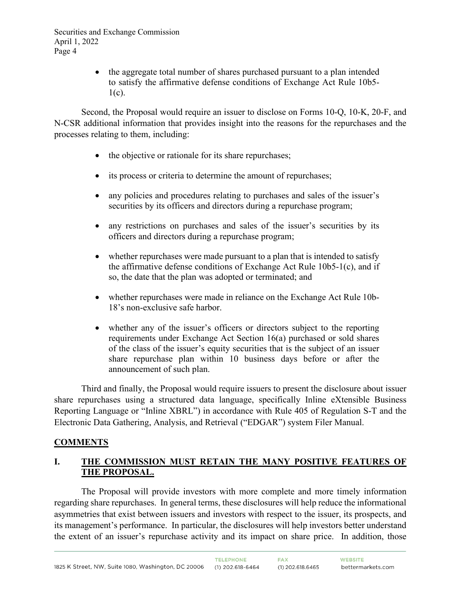> • the aggregate total number of shares purchased pursuant to a plan intended to satisfy the affirmative defense conditions of Exchange Act Rule 10b5-  $1(c)$ .

Second, the Proposal would require an issuer to disclose on Forms 10-Q, 10-K, 20-F, and N-CSR additional information that provides insight into the reasons for the repurchases and the processes relating to them, including:

- the objective or rationale for its share repurchases;
- its process or criteria to determine the amount of repurchases;
- any policies and procedures relating to purchases and sales of the issuer's securities by its officers and directors during a repurchase program;
- any restrictions on purchases and sales of the issuer's securities by its officers and directors during a repurchase program;
- whether repurchases were made pursuant to a plan that is intended to satisfy the affirmative defense conditions of Exchange Act Rule 10b5-1(c), and if so, the date that the plan was adopted or terminated; and
- whether repurchases were made in reliance on the Exchange Act Rule 10b-18's non-exclusive safe harbor.
- whether any of the issuer's officers or directors subject to the reporting requirements under Exchange Act Section 16(a) purchased or sold shares of the class of the issuer's equity securities that is the subject of an issuer share repurchase plan within 10 business days before or after the announcement of such plan.

Third and finally, the Proposal would require issuers to present the disclosure about issuer share repurchases using a structured data language, specifically Inline eXtensible Business Reporting Language or "Inline XBRL") in accordance with Rule 405 of Regulation S-T and the Electronic Data Gathering, Analysis, and Retrieval ("EDGAR") system Filer Manual.

## **COMMENTS**

# **I. THE COMMISSION MUST RETAIN THE MANY POSITIVE FEATURES OF THE PROPOSAL.**

The Proposal will provide investors with more complete and more timely information regarding share repurchases. In general terms, these disclosures will help reduce the informational asymmetries that exist between issuers and investors with respect to the issuer, its prospects, and its management's performance. In particular, the disclosures will help investors better understand the extent of an issuer's repurchase activity and its impact on share price. In addition, those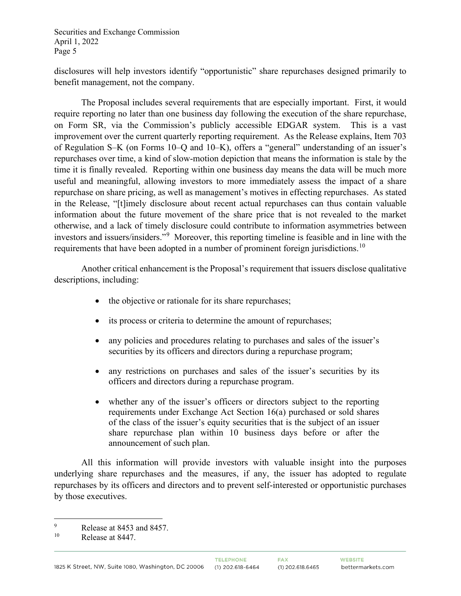disclosures will help investors identify "opportunistic" share repurchases designed primarily to benefit management, not the company.

The Proposal includes several requirements that are especially important. First, it would require reporting no later than one business day following the execution of the share repurchase, on Form SR, via the Commission's publicly accessible EDGAR system. This is a vast improvement over the current quarterly reporting requirement. As the Release explains, Item 703 of Regulation S–K (on Forms 10–Q and 10–K), offers a "general" understanding of an issuer's repurchases over time, a kind of slow-motion depiction that means the information is stale by the time it is finally revealed. Reporting within one business day means the data will be much more useful and meaningful, allowing investors to more immediately assess the impact of a share repurchase on share pricing, as well as management's motives in effecting repurchases. As stated in the Release, "[t]imely disclosure about recent actual repurchases can thus contain valuable information about the future movement of the share price that is not revealed to the market otherwise, and a lack of timely disclosure could contribute to information asymmetries between investors and issuers/insiders."[9](#page-4-0) Moreover, this reporting timeline is feasible and in line with the requirements that have been adopted in a number of prominent foreign jurisdictions.<sup>[10](#page-4-1)</sup>

Another critical enhancement is the Proposal's requirement that issuers disclose qualitative descriptions, including:

- the objective or rationale for its share repurchases;
- its process or criteria to determine the amount of repurchases;
- any policies and procedures relating to purchases and sales of the issuer's securities by its officers and directors during a repurchase program;
- any restrictions on purchases and sales of the issuer's securities by its officers and directors during a repurchase program.
- whether any of the issuer's officers or directors subject to the reporting requirements under Exchange Act Section 16(a) purchased or sold shares of the class of the issuer's equity securities that is the subject of an issuer share repurchase plan within 10 business days before or after the announcement of such plan.

All this information will provide investors with valuable insight into the purposes underlying share repurchases and the measures, if any, the issuer has adopted to regulate repurchases by its officers and directors and to prevent self-interested or opportunistic purchases by those executives.

<span id="page-4-0"></span> $^{9}$  Release at 8453 and 8457.<br>
Release at 8447

<span id="page-4-1"></span>Release at 8447.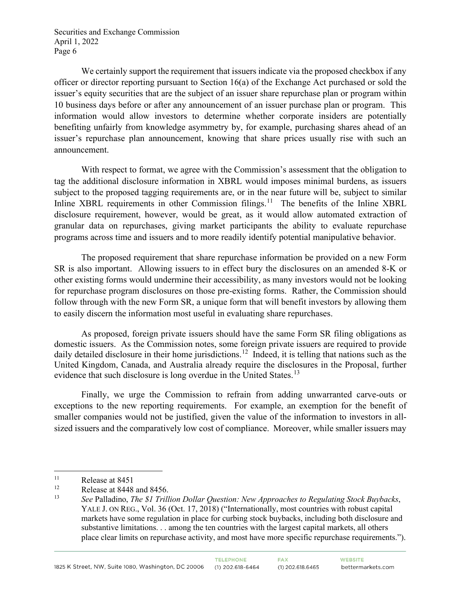We certainly support the requirement that issuers indicate via the proposed checkbox if any officer or director reporting pursuant to Section 16(a) of the Exchange Act purchased or sold the issuer's equity securities that are the subject of an issuer share repurchase plan or program within 10 business days before or after any announcement of an issuer purchase plan or program. This information would allow investors to determine whether corporate insiders are potentially benefiting unfairly from knowledge asymmetry by, for example, purchasing shares ahead of an issuer's repurchase plan announcement, knowing that share prices usually rise with such an announcement.

With respect to format, we agree with the Commission's assessment that the obligation to tag the additional disclosure information in XBRL would imposes minimal burdens, as issuers subject to the proposed tagging requirements are, or in the near future will be, subject to similar Inline XBRL requirements in other Commission filings.<sup>11</sup> The benefits of the Inline XBRL disclosure requirement, however, would be great, as it would allow automated extraction of granular data on repurchases, giving market participants the ability to evaluate repurchase programs across time and issuers and to more readily identify potential manipulative behavior.

The proposed requirement that share repurchase information be provided on a new Form SR is also important. Allowing issuers to in effect bury the disclosures on an amended 8-K or other existing forms would undermine their accessibility, as many investors would not be looking for repurchase program disclosures on those pre-existing forms. Rather, the Commission should follow through with the new Form SR, a unique form that will benefit investors by allowing them to easily discern the information most useful in evaluating share repurchases.

As proposed, foreign private issuers should have the same Form SR filing obligations as domestic issuers. As the Commission notes, some foreign private issuers are required to provide daily detailed disclosure in their home jurisdictions.<sup>12</sup> Indeed, it is telling that nations such as the United Kingdom, Canada, and Australia already require the disclosures in the Proposal, further evidence that such disclosure is long overdue in the United States.<sup>[13](#page-5-2)</sup>

Finally, we urge the Commission to refrain from adding unwarranted carve-outs or exceptions to the new reporting requirements. For example, an exemption for the benefit of smaller companies would not be justified, given the value of the information to investors in allsized issuers and the comparatively low cost of compliance. Moreover, while smaller issuers may

<span id="page-5-0"></span><sup>&</sup>lt;sup>11</sup> Release at 8451

<span id="page-5-2"></span><span id="page-5-1"></span><sup>&</sup>lt;sup>12</sup> Release at 8448 and 8456.<br><sup>13</sup> See Polloding *The S.I. Trill* 

<sup>13</sup> *See* Palladino, *The \$1 Trillion Dollar Question: New Approaches to Regulating Stock Buybacks*, YALE J. ON REG., Vol. 36 (Oct. 17, 2018) ("Internationally, most countries with robust capital markets have some regulation in place for curbing stock buybacks, including both disclosure and substantive limitations. . . among the ten countries with the largest capital markets, all others place clear limits on repurchase activity, and most have more specific repurchase requirements.").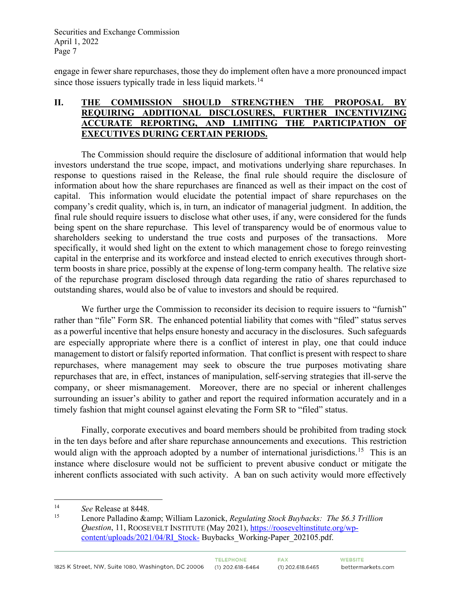engage in fewer share repurchases, those they do implement often have a more pronounced impact since those issuers typically trade in less liquid markets.<sup>14</sup>

#### **II. THE COMMISSION SHOULD STRENGTHEN THE PROPOSAL BY REQUIRING ADDITIONAL DISCLOSURES, FURTHER INCENTIVIZING ACCURATE REPORTING, AND LIMITING THE PARTICIPATION OF EXECUTIVES DURING CERTAIN PERIODS.**

The Commission should require the disclosure of additional information that would help investors understand the true scope, impact, and motivations underlying share repurchases. In response to questions raised in the Release, the final rule should require the disclosure of information about how the share repurchases are financed as well as their impact on the cost of capital. This information would elucidate the potential impact of share repurchases on the company's credit quality, which is, in turn, an indicator of managerial judgment. In addition, the final rule should require issuers to disclose what other uses, if any, were considered for the funds being spent on the share repurchase. This level of transparency would be of enormous value to shareholders seeking to understand the true costs and purposes of the transactions. More specifically, it would shed light on the extent to which management chose to forego reinvesting capital in the enterprise and its workforce and instead elected to enrich executives through shortterm boosts in share price, possibly at the expense of long-term company health. The relative size of the repurchase program disclosed through data regarding the ratio of shares repurchased to outstanding shares, would also be of value to investors and should be required.

We further urge the Commission to reconsider its decision to require issuers to "furnish" rather than "file" Form SR. The enhanced potential liability that comes with "filed" status serves as a powerful incentive that helps ensure honesty and accuracy in the disclosures. Such safeguards are especially appropriate where there is a conflict of interest in play, one that could induce management to distort or falsify reported information. That conflict is present with respect to share repurchases, where management may seek to obscure the true purposes motivating share repurchases that are, in effect, instances of manipulation, self-serving strategies that ill-serve the company, or sheer mismanagement. Moreover, there are no special or inherent challenges surrounding an issuer's ability to gather and report the required information accurately and in a timely fashion that might counsel against elevating the Form SR to "filed" status.

Finally, corporate executives and board members should be prohibited from trading stock in the ten days before and after share repurchase announcements and executions. This restriction would align with the approach adopted by a number of international jurisdictions.<sup>15</sup> This is an instance where disclosure would not be sufficient to prevent abusive conduct or mitigate the inherent conflicts associated with such activity. A ban on such activity would more effectively

<span id="page-6-0"></span><sup>&</sup>lt;sup>14</sup> *See* Release at 8448.

<span id="page-6-1"></span><sup>15</sup> Lenore Palladino & William Lazonick, *Regulating Stock Buybacks: The \$6.3 Trillion Question*, 11, ROOSEVELT INSTITUTE (May 2021), [https://rooseveltinstitute.org/wp](https://rooseveltinstitute.org/wp-content/uploads/2021/04/RI_Stock-)[content/uploads/2021/04/RI\\_Stock-](https://rooseveltinstitute.org/wp-content/uploads/2021/04/RI_Stock-) Buybacks\_Working-Paper\_202105.pdf.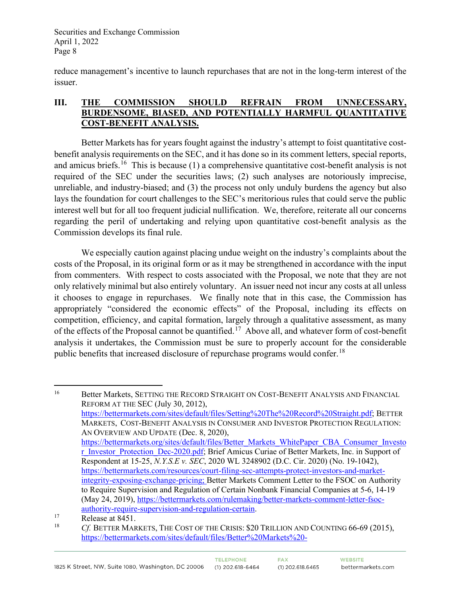reduce management's incentive to launch repurchases that are not in the long-term interest of the issuer.

## **III. THE COMMISSION SHOULD REFRAIN FROM UNNECESSARY, BURDENSOME, BIASED, AND POTENTIALLY HARMFUL QUANTITATIVE COST-BENEFIT ANALYSIS.**

Better Markets has for years fought against the industry's attempt to foist quantitative costbenefit analysis requirements on the SEC, and it has done so in its comment letters, special reports, and amicus briefs.<sup>[16](#page-7-0)</sup> This is because (1) a comprehensive quantitative cost-benefit analysis is not required of the SEC under the securities laws; (2) such analyses are notoriously imprecise, unreliable, and industry-biased; and (3) the process not only unduly burdens the agency but also lays the foundation for court challenges to the SEC's meritorious rules that could serve the public interest well but for all too frequent judicial nullification. We, therefore, reiterate all our concerns regarding the peril of undertaking and relying upon quantitative cost-benefit analysis as the Commission develops its final rule.

We especially caution against placing undue weight on the industry's complaints about the costs of the Proposal, in its original form or as it may be strengthened in accordance with the input from commenters. With respect to costs associated with the Proposal, we note that they are not only relatively minimal but also entirely voluntary. An issuer need not incur any costs at all unless it chooses to engage in repurchases. We finally note that in this case, the Commission has appropriately "considered the economic effects" of the Proposal, including its effects on competition, efficiency, and capital formation, largely through a qualitative assessment, as many of the effects of the Proposal cannot be quantified.<sup>[17](#page-7-1)</sup> Above all, and whatever form of cost-benefit analysis it undertakes, the Commission must be sure to properly account for the considerable public benefits that increased disclosure of repurchase programs would confer.<sup>18</sup>

<span id="page-7-0"></span><sup>&</sup>lt;sup>16</sup> Better Markets, SETTING THE RECORD STRAIGHT ON COST-BENEFIT ANALYSIS AND FINANCIAL REFORM AT THE SEC (July 30, 2012), [https://bettermarkets.com/sites/default/files/Setting%20The%20Record%20Straight.pdf;](https://bettermarkets.com/sites/default/files/Setting%20The%20Record%20Straight.pdf) BETTER MARKETS, COST-BENEFIT ANALYSIS IN CONSUMER AND INVESTOR PROTECTION REGULATION: AN OVERVIEW AND UPDATE (Dec. 8, 2020), [https://bettermarkets.org/sites/default/files/Better\\_Markets\\_WhitePaper\\_CBA\\_Consumer\\_Investo](https://bettermarkets.org/sites/default/files/Better_Markets_WhitePaper_CBA_Consumer_Investor_Investor_Protection_Dec-2020.pdf) [r\\_Investor\\_Protection\\_Dec-2020.pdf;](https://bettermarkets.org/sites/default/files/Better_Markets_WhitePaper_CBA_Consumer_Investor_Investor_Protection_Dec-2020.pdf) Brief Amicus Curiae of Better Markets, Inc. in Support of Respondent at 15-25, *N.Y.S.E v. SEC*, 2020 WL 3248902 (D.C. Cir. 2020) (No. 19-1042), [https://bettermarkets.com/resources/court-filing-sec-attempts-protect-investors-and-market](https://bettermarkets.com/resources/court-filing-sec-attempts-protect-investors-and-market-integrity-exposing-exchange-pricing)[integrity-exposing-exchange-pricing;](https://bettermarkets.com/resources/court-filing-sec-attempts-protect-investors-and-market-integrity-exposing-exchange-pricing) Better Markets Comment Letter to the FSOC on Authority to Require Supervision and Regulation of Certain Nonbank Financial Companies at 5-6, 14-19 (May 24, 2019), [https://bettermarkets.com/rulemaking/better-markets-comment-letter-fsoc](https://bettermarkets.com/rulemaking/better-markets-comment-letter-fsoc-authority-require-supervision-and-regulation-certain)[authority-require-supervision-and-regulation-certain.](https://bettermarkets.com/rulemaking/better-markets-comment-letter-fsoc-authority-require-supervision-and-regulation-certain)

<span id="page-7-2"></span><span id="page-7-1"></span><sup>17</sup> Release at 8451.<br><sup>18</sup> *Cf.* BETTER MARKETS, THE COST OF THE CRISIS: \$20 TRILLION AND COUNTING 66-69 (2015), [https://bettermarkets.com/sites/default/files/Better%20Markets%20-](https://bettermarkets.com/sites/default/files/Better%20Markets%20-%20Cost%20of%20the%20Crisis.pdf)